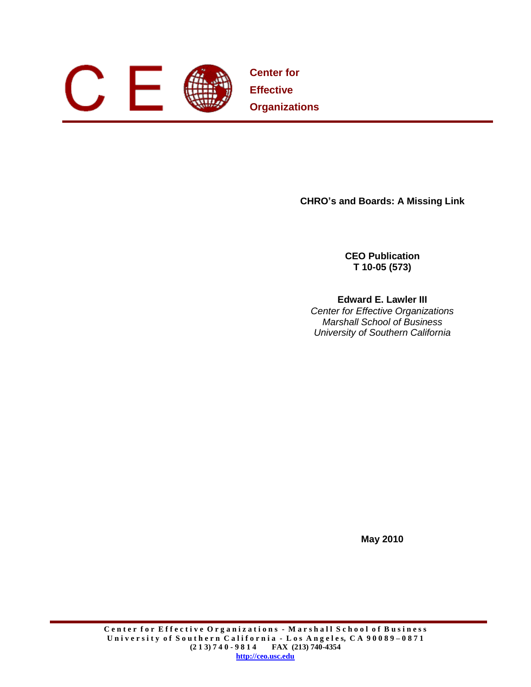

**Center for Effective Organizations**

**CHRO's and Boards: A Missing Link**

**CEO Publication T 10-05 (573)**

# **Edward E. Lawler III**

*Center for Effective Organizations Marshall School of Business University of Southern California*

**May 2010**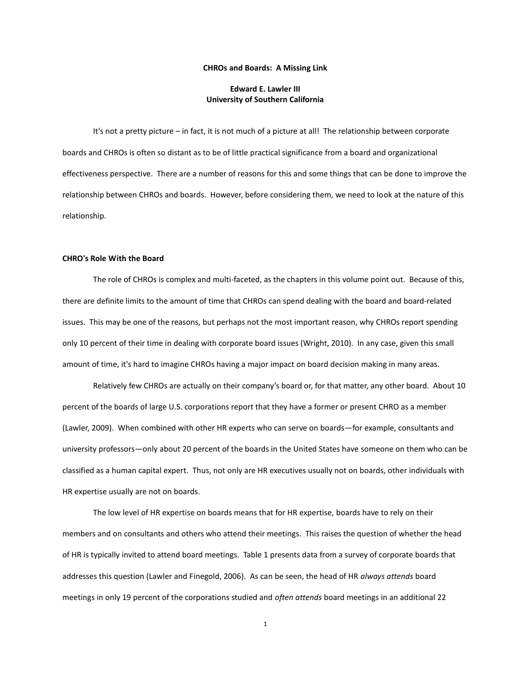#### **CHROs and Boards: A Missing Link**

# **Edward E. Lawler III University of Southern California**

It's not a pretty picture – in fact, it is not much of a picture at all! The relationship between corporate boards and CHROs is often so distant as to be of little practical significance from a board and organizational effectiveness perspective. There are a number of reasons for this and some things that can be done to improve the relationship between CHROs and boards. However, before considering them, we need to look at the nature of this relationship.

### **CHRO's Role With the Board**

The role of CHROs is complex and multi-faceted, as the chapters in this volume point out. Because of this, there are definite limits to the amount of time that CHROs can spend dealing with the board and board-related issues. This may be one of the reasons, but perhaps not the most important reason, why CHROs report spending only 10 percent of their time in dealing with corporate board issues (Wright, 2010). In any case, given this small amount of time, it's hard to imagine CHROs having a major impact on board decision making in many areas.

Relatively few CHROs are actually on their company's board or, for that matter, any other board. About 10 percent of the boards of large U.S. corporations report that they have a former or present CHRO as a member (Lawler, 2009). When combined with other HR experts who can serve on boards—for example, consultants and university professors—only about 20 percent of the boards in the United States have someone on them who can be classified as a human capital expert. Thus, not only are HR executives usually not on boards, other individuals with HR expertise usually are not on boards.

The low level of HR expertise on boards means that for HR expertise, boards have to rely on their members and on consultants and others who attend their meetings. This raises the question of whether the head of HR is typically invited to attend board meetings. Table 1 presents data from a survey of corporate boards that addresses this question (Lawler and Finegold, 2006). As can be seen, the head of HR *always attends* board meetings in only 19 percent of the corporations studied and *often attends* board meetings in an additional 22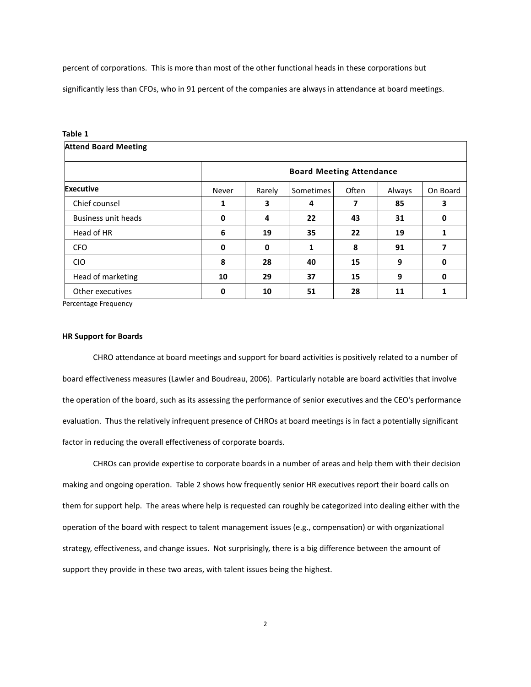percent of corporations. This is more than most of the other functional heads in these corporations but

significantly less than CFOs, who in 91 percent of the companies are always in attendance at board meetings.

| Table 1                     |                                 |        |           |       |        |              |
|-----------------------------|---------------------------------|--------|-----------|-------|--------|--------------|
| <b>Attend Board Meeting</b> |                                 |        |           |       |        |              |
|                             | <b>Board Meeting Attendance</b> |        |           |       |        |              |
| <b>Executive</b>            | Never                           | Rarely | Sometimes | Often | Always | On Board     |
| Chief counsel               | 1                               | 3      | 4         | 7     | 85     | 3            |
| <b>Business unit heads</b>  | 0                               | 4      | 22        | 43    | 31     | 0            |
| Head of HR                  | 6                               | 19     | 35        | 22    | 19     | $\mathbf{1}$ |
| <b>CFO</b>                  | 0                               | 0      | 1         | 8     | 91     | 7            |
| <b>CIO</b>                  | 8                               | 28     | 40        | 15    | 9      | 0            |
| Head of marketing           | 10                              | 29     | 37        | 15    | 9      | 0            |
| Other executives            | 0                               | 10     | 51        | 28    | 11     | 1            |

Percentage Frequency

#### **HR Support for Boards**

CHRO attendance at board meetings and support for board activities is positively related to a number of board effectiveness measures (Lawler and Boudreau, 2006). Particularly notable are board activities that involve the operation of the board, such as its assessing the performance of senior executives and the CEO's performance evaluation. Thus the relatively infrequent presence of CHROs at board meetings is in fact a potentially significant factor in reducing the overall effectiveness of corporate boards.

CHROs can provide expertise to corporate boards in a number of areas and help them with their decision making and ongoing operation. Table 2 shows how frequently senior HR executives report their board calls on them for support help. The areas where help is requested can roughly be categorized into dealing either with the operation of the board with respect to talent management issues (e.g., compensation) or with organizational strategy, effectiveness, and change issues. Not surprisingly, there is a big difference between the amount of support they provide in these two areas, with talent issues being the highest.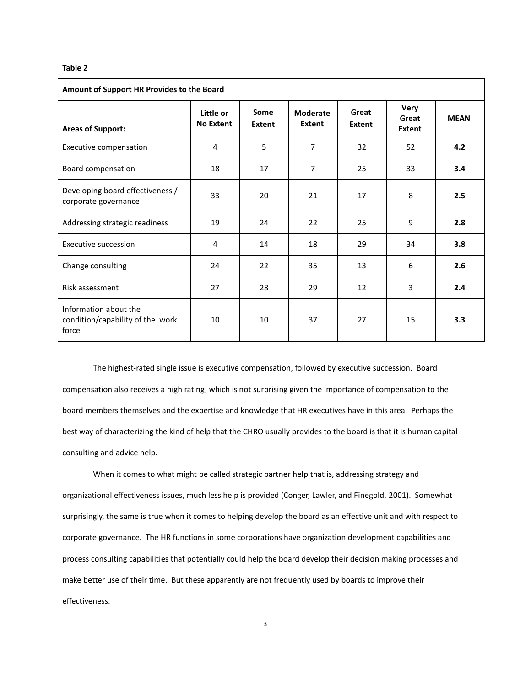#### **Table 2**

| Amount of Support HR Provides to the Board                         |                               |                |                           |                 |                                       |             |
|--------------------------------------------------------------------|-------------------------------|----------------|---------------------------|-----------------|---------------------------------------|-------------|
| <b>Areas of Support:</b>                                           | Little or<br><b>No Extent</b> | Some<br>Extent | <b>Moderate</b><br>Extent | Great<br>Extent | <b>Very</b><br>Great<br><b>Extent</b> | <b>MEAN</b> |
| Executive compensation                                             | 4                             | 5              | $\overline{7}$            | 32              | 52                                    | 4.2         |
| Board compensation                                                 | 18                            | 17             | 7                         | 25              | 33                                    | 3.4         |
| Developing board effectiveness /<br>corporate governance           | 33                            | 20             | 21                        | 17              | 8                                     | 2.5         |
| Addressing strategic readiness                                     | 19                            | 24             | 22                        | 25              | 9                                     | 2.8         |
| Executive succession                                               | 4                             | 14             | 18                        | 29              | 34                                    | 3.8         |
| Change consulting                                                  | 24                            | 22             | 35                        | 13              | 6                                     | 2.6         |
| Risk assessment                                                    | 27                            | 28             | 29                        | 12              | 3                                     | 2.4         |
| Information about the<br>condition/capability of the work<br>force | 10                            | 10             | 37                        | 27              | 15                                    | 3.3         |

The highest-rated single issue is executive compensation, followed by executive succession. Board compensation also receives a high rating, which is not surprising given the importance of compensation to the board members themselves and the expertise and knowledge that HR executives have in this area. Perhaps the best way of characterizing the kind of help that the CHRO usually provides to the board is that it is human capital consulting and advice help.

When it comes to what might be called strategic partner help that is, addressing strategy and organizational effectiveness issues, much less help is provided (Conger, Lawler, and Finegold, 2001). Somewhat surprisingly, the same is true when it comes to helping develop the board as an effective unit and with respect to corporate governance. The HR functions in some corporations have organization development capabilities and process consulting capabilities that potentially could help the board develop their decision making processes and make better use of their time. But these apparently are not frequently used by boards to improve their effectiveness.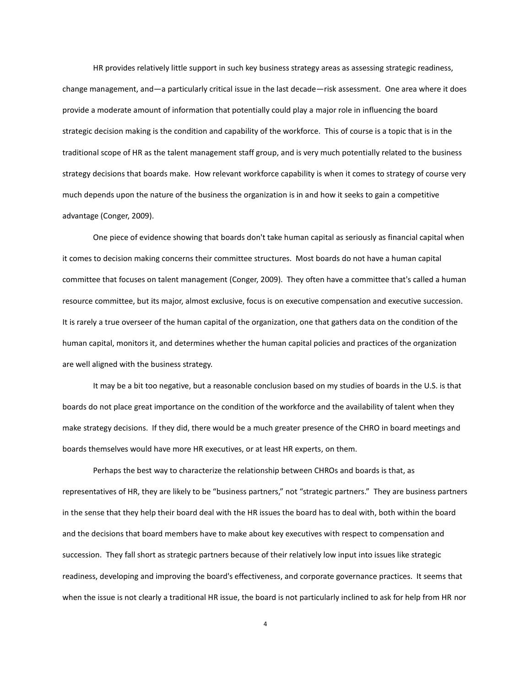HR provides relatively little support in such key business strategy areas as assessing strategic readiness, change management, and—a particularly critical issue in the last decade—risk assessment. One area where it does provide a moderate amount of information that potentially could play a major role in influencing the board strategic decision making is the condition and capability of the workforce. This of course is a topic that is in the traditional scope of HR as the talent management staff group, and is very much potentially related to the business strategy decisions that boards make. How relevant workforce capability is when it comes to strategy of course very much depends upon the nature of the business the organization is in and how it seeks to gain a competitive advantage (Conger, 2009).

One piece of evidence showing that boards don't take human capital as seriously as financial capital when it comes to decision making concerns their committee structures. Most boards do not have a human capital committee that focuses on talent management (Conger, 2009). They often have a committee that's called a human resource committee, but its major, almost exclusive, focus is on executive compensation and executive succession. It is rarely a true overseer of the human capital of the organization, one that gathers data on the condition of the human capital, monitors it, and determines whether the human capital policies and practices of the organization are well aligned with the business strategy.

It may be a bit too negative, but a reasonable conclusion based on my studies of boards in the U.S. is that boards do not place great importance on the condition of the workforce and the availability of talent when they make strategy decisions. If they did, there would be a much greater presence of the CHRO in board meetings and boards themselves would have more HR executives, or at least HR experts, on them.

Perhaps the best way to characterize the relationship between CHROs and boards is that, as representatives of HR, they are likely to be "business partners," not "strategic partners." They are business partners in the sense that they help their board deal with the HR issues the board has to deal with, both within the board and the decisions that board members have to make about key executives with respect to compensation and succession. They fall short as strategic partners because of their relatively low input into issues like strategic readiness, developing and improving the board's effectiveness, and corporate governance practices. It seems that when the issue is not clearly a traditional HR issue, the board is not particularly inclined to ask for help from HR nor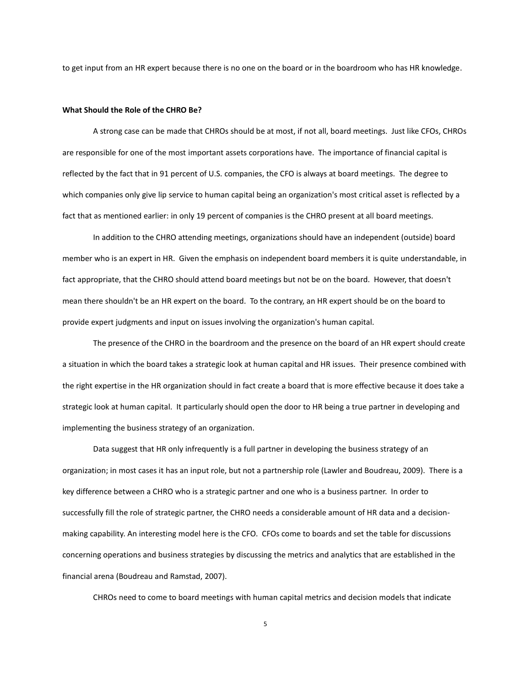to get input from an HR expert because there is no one on the board or in the boardroom who has HR knowledge.

## **What Should the Role of the CHRO Be?**

A strong case can be made that CHROs should be at most, if not all, board meetings. Just like CFOs, CHROs are responsible for one of the most important assets corporations have. The importance of financial capital is reflected by the fact that in 91 percent of U.S. companies, the CFO is always at board meetings. The degree to which companies only give lip service to human capital being an organization's most critical asset is reflected by a fact that as mentioned earlier: in only 19 percent of companies is the CHRO present at all board meetings.

In addition to the CHRO attending meetings, organizations should have an independent (outside) board member who is an expert in HR. Given the emphasis on independent board members it is quite understandable, in fact appropriate, that the CHRO should attend board meetings but not be on the board. However, that doesn't mean there shouldn't be an HR expert on the board. To the contrary, an HR expert should be on the board to provide expert judgments and input on issues involving the organization's human capital.

The presence of the CHRO in the boardroom and the presence on the board of an HR expert should create a situation in which the board takes a strategic look at human capital and HR issues. Their presence combined with the right expertise in the HR organization should in fact create a board that is more effective because it does take a strategic look at human capital. It particularly should open the door to HR being a true partner in developing and implementing the business strategy of an organization.

Data suggest that HR only infrequently is a full partner in developing the business strategy of an organization; in most cases it has an input role, but not a partnership role (Lawler and Boudreau, 2009). There is a key difference between a CHRO who is a strategic partner and one who is a business partner. In order to successfully fill the role of strategic partner, the CHRO needs a considerable amount of HR data and a decisionmaking capability. An interesting model here is the CFO. CFOs come to boards and set the table for discussions concerning operations and business strategies by discussing the metrics and analytics that are established in the financial arena (Boudreau and Ramstad, 2007).

CHROs need to come to board meetings with human capital metrics and decision models that indicate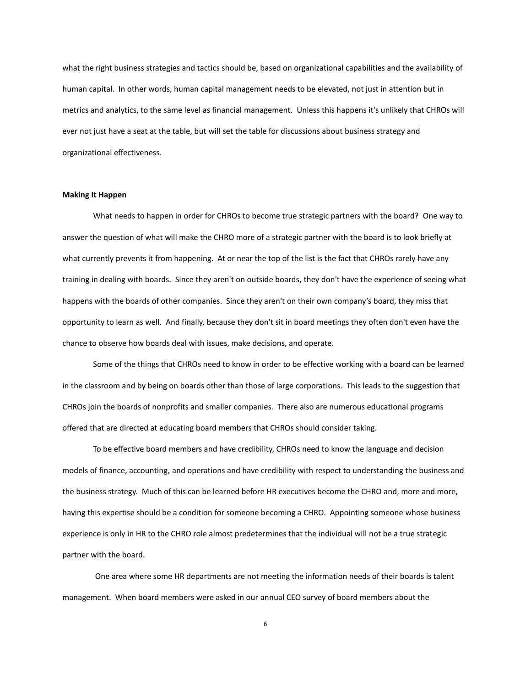what the right business strategies and tactics should be, based on organizational capabilities and the availability of human capital. In other words, human capital management needs to be elevated, not just in attention but in metrics and analytics, to the same level as financial management. Unless this happens it's unlikely that CHROs will ever not just have a seat at the table, but will set the table for discussions about business strategy and organizational effectiveness.

#### **Making It Happen**

What needs to happen in order for CHROs to become true strategic partners with the board? One way to answer the question of what will make the CHRO more of a strategic partner with the board is to look briefly at what currently prevents it from happening. At or near the top of the list is the fact that CHROs rarely have any training in dealing with boards. Since they aren't on outside boards, they don't have the experience of seeing what happens with the boards of other companies. Since they aren't on their own company's board, they miss that opportunity to learn as well. And finally, because they don't sit in board meetings they often don't even have the chance to observe how boards deal with issues, make decisions, and operate.

Some of the things that CHROs need to know in order to be effective working with a board can be learned in the classroom and by being on boards other than those of large corporations. This leads to the suggestion that CHROs join the boards of nonprofits and smaller companies. There also are numerous educational programs offered that are directed at educating board members that CHROs should consider taking.

To be effective board members and have credibility, CHROs need to know the language and decision models of finance, accounting, and operations and have credibility with respect to understanding the business and the business strategy. Much of this can be learned before HR executives become the CHRO and, more and more, having this expertise should be a condition for someone becoming a CHRO. Appointing someone whose business experience is only in HR to the CHRO role almost predetermines that the individual will not be a true strategic partner with the board.

One area where some HR departments are not meeting the information needs of their boards is talent management. When board members were asked in our annual CEO survey of board members about the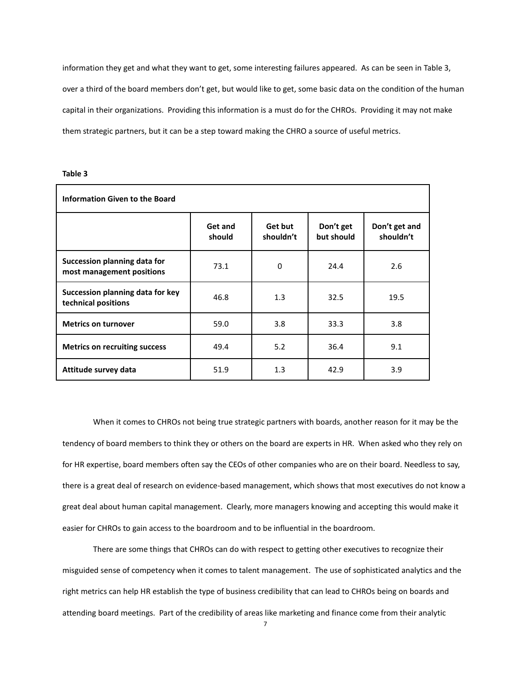information they get and what they want to get, some interesting failures appeared. As can be seen in Table 3, over a third of the board members don't get, but would like to get, some basic data on the condition of the human capital in their organizations. Providing this information is a must do for the CHROs. Providing it may not make them strategic partners, but it can be a step toward making the CHRO a source of useful metrics.

| ×<br>. . | ٩ | ۰, | ۰, |
|----------|---|----|----|
|----------|---|----|----|

| <b>Information Given to the Board</b>                     |                   |                      |                         |                            |  |
|-----------------------------------------------------------|-------------------|----------------------|-------------------------|----------------------------|--|
|                                                           | Get and<br>should | Get but<br>shouldn't | Don't get<br>but should | Don't get and<br>shouldn't |  |
| Succession planning data for<br>most management positions | 73.1              | $\Omega$             | 24.4                    | 2.6                        |  |
| Succession planning data for key<br>technical positions   | 46.8              | 1.3                  | 32.5                    | 19.5                       |  |
| <b>Metrics on turnover</b>                                | 59.0              | 3.8                  | 33.3                    | 3.8                        |  |
| <b>Metrics on recruiting success</b>                      | 49.4              | 5.2                  | 36.4                    | 9.1                        |  |
| Attitude survey data                                      | 51.9              | 1.3                  | 42.9                    | 3.9                        |  |

When it comes to CHROs not being true strategic partners with boards, another reason for it may be the tendency of board members to think they or others on the board are experts in HR. When asked who they rely on for HR expertise, board members often say the CEOs of other companies who are on their board. Needless to say, there is a great deal of research on evidence-based management, which shows that most executives do not know a great deal about human capital management. Clearly, more managers knowing and accepting this would make it easier for CHROs to gain access to the boardroom and to be influential in the boardroom.

There are some things that CHROs can do with respect to getting other executives to recognize their misguided sense of competency when it comes to talent management. The use of sophisticated analytics and the right metrics can help HR establish the type of business credibility that can lead to CHROs being on boards and attending board meetings. Part of the credibility of areas like marketing and finance come from their analytic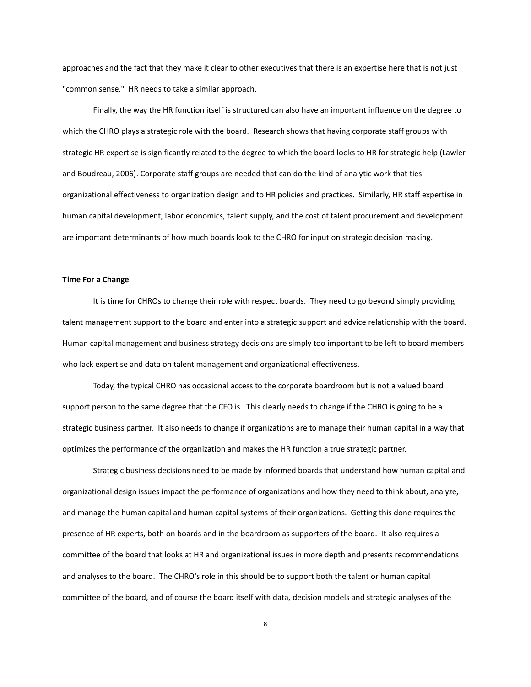approaches and the fact that they make it clear to other executives that there is an expertise here that is not just "common sense." HR needs to take a similar approach.

Finally, the way the HR function itself is structured can also have an important influence on the degree to which the CHRO plays a strategic role with the board. Research shows that having corporate staff groups with strategic HR expertise is significantly related to the degree to which the board looks to HR for strategic help (Lawler and Boudreau, 2006). Corporate staff groups are needed that can do the kind of analytic work that ties organizational effectiveness to organization design and to HR policies and practices. Similarly, HR staff expertise in human capital development, labor economics, talent supply, and the cost of talent procurement and development are important determinants of how much boards look to the CHRO for input on strategic decision making.

### **Time For a Change**

It is time for CHROs to change their role with respect boards. They need to go beyond simply providing talent management support to the board and enter into a strategic support and advice relationship with the board. Human capital management and business strategy decisions are simply too important to be left to board members who lack expertise and data on talent management and organizational effectiveness.

Today, the typical CHRO has occasional access to the corporate boardroom but is not a valued board support person to the same degree that the CFO is. This clearly needs to change if the CHRO is going to be a strategic business partner. It also needs to change if organizations are to manage their human capital in a way that optimizes the performance of the organization and makes the HR function a true strategic partner.

Strategic business decisions need to be made by informed boards that understand how human capital and organizational design issues impact the performance of organizations and how they need to think about, analyze, and manage the human capital and human capital systems of their organizations. Getting this done requires the presence of HR experts, both on boards and in the boardroom as supporters of the board. It also requires a committee of the board that looks at HR and organizational issues in more depth and presents recommendations and analyses to the board. The CHRO's role in this should be to support both the talent or human capital committee of the board, and of course the board itself with data, decision models and strategic analyses of the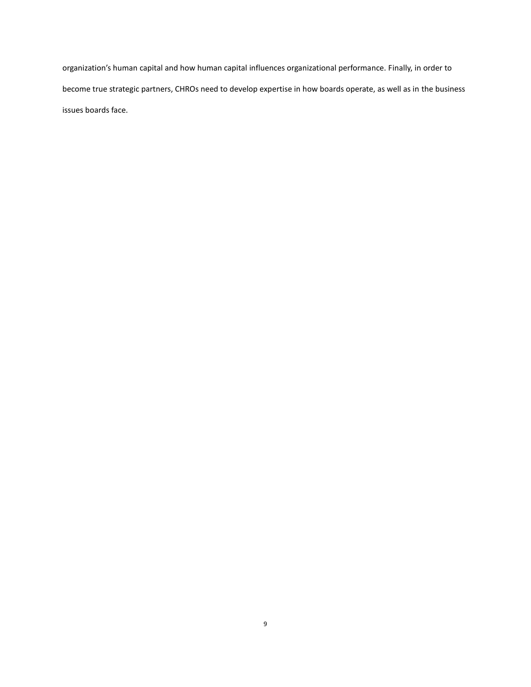organization's human capital and how human capital influences organizational performance. Finally, in order to become true strategic partners, CHROs need to develop expertise in how boards operate, as well as in the business issues boards face.